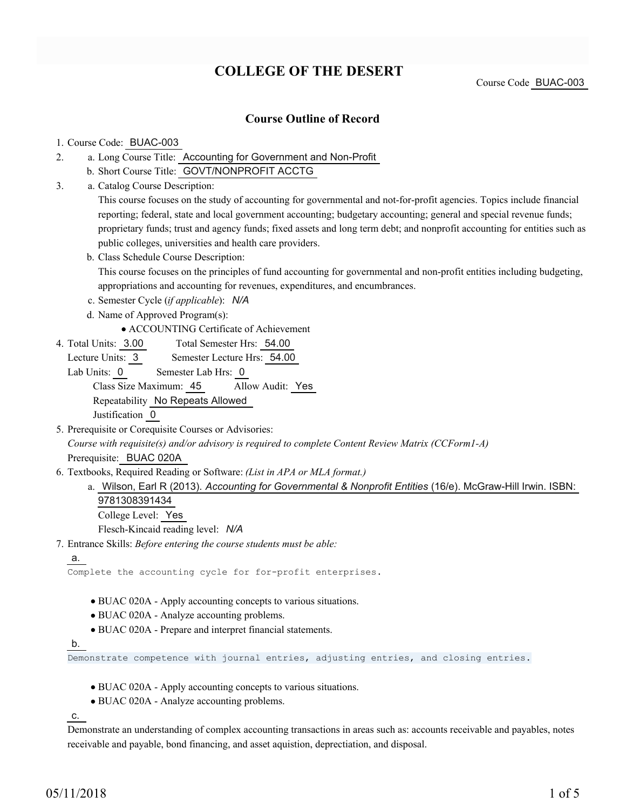## **COLLEGE OF THE DESERT**

Course Code BUAC-003

### **Course Outline of Record**

#### 1. Course Code: BUAC-003

- a. Long Course Title: Accounting for Government and Non-Profit 2.
	- b. Short Course Title: GOVT/NONPROFIT ACCTG
- Catalog Course Description: a. 3.

This course focuses on the study of accounting for governmental and not-for-profit agencies. Topics include financial reporting; federal, state and local government accounting; budgetary accounting; general and special revenue funds; proprietary funds; trust and agency funds; fixed assets and long term debt; and nonprofit accounting for entities such as public colleges, universities and health care providers.

- b. Class Schedule Course Description: This course focuses on the principles of fund accounting for governmental and non-profit entities including budgeting, appropriations and accounting for revenues, expenditures, and encumbrances.
- c. Semester Cycle (*if applicable*): *N/A*
- d. Name of Approved Program(s):

ACCOUNTING Certificate of Achievement

Total Semester Hrs: 54.00 4. Total Units: 3.00

Lecture Units: 3 Semester Lecture Hrs: 54.00

- Lab Units: 0 Semester Lab Hrs: 0 Class Size Maximum: 45 Allow Audit: Yes Repeatability No Repeats Allowed Justification 0
- 5. Prerequisite or Corequisite Courses or Advisories: *Course with requisite(s) and/or advisory is required to complete Content Review Matrix (CCForm1-A)* Prerequisite: BUAC 020A
- Textbooks, Required Reading or Software: *(List in APA or MLA format.)* 6.
	- a. Wilson, Earl R (2013). *Accounting for Governmental & Nonprofit Entities* (16/e). McGraw-Hill Irwin. ISBN: 9781308391434

College Level: Yes

Flesch-Kincaid reading level: *N/A*

Entrance Skills: *Before entering the course students must be able:* 7.

a.

Complete the accounting cycle for for-profit enterprises.

- BUAC 020A Apply accounting concepts to various situations.
- BUAC 020A Analyze accounting problems.
- BUAC 020A Prepare and interpret financial statements.

#### b.

Demonstrate competence with journal entries, adjusting entries, and closing entries.

- BUAC 020A Apply accounting concepts to various situations.
- BUAC 020A Analyze accounting problems.

c.

Demonstrate an understanding of complex accounting transactions in areas such as: accounts receivable and payables, notes receivable and payable, bond financing, and asset aquistion, deprectiation, and disposal.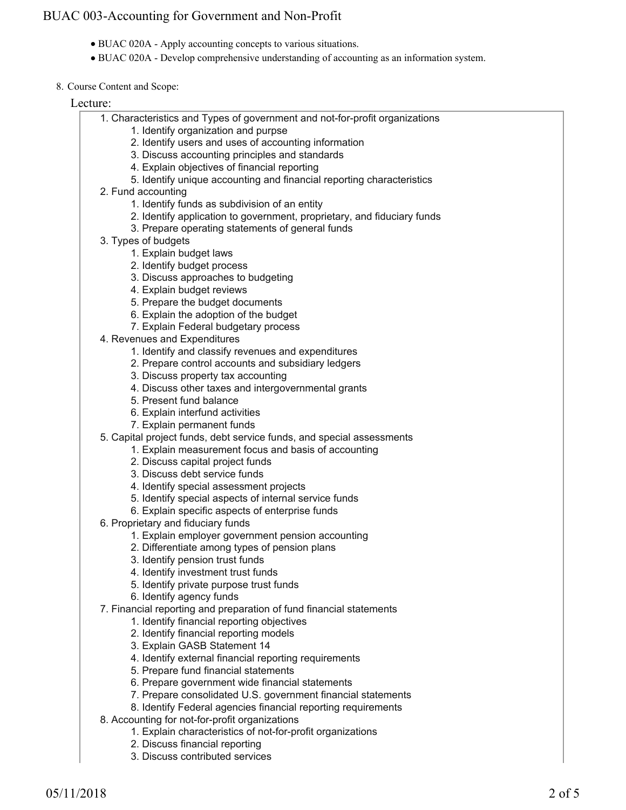- BUAC 020A Apply accounting concepts to various situations.
- BUAC 020A Develop comprehensive understanding of accounting as an information system.
- 8. Course Content and Scope:

#### Lecture:

- Characteristics and Types of government and not-for-profit organizations 1.
	- 1. Identify organization and purpse
	- 2. Identify users and uses of accounting information
	- 3. Discuss accounting principles and standards
	- 4. Explain objectives of financial reporting
	- 5. Identify unique accounting and financial reporting characteristics
- 2. Fund accounting
	- 1. Identify funds as subdivision of an entity
	- 2. Identify application to government, proprietary, and fiduciary funds
	- 3. Prepare operating statements of general funds
- 3. Types of budgets
	- 1. Explain budget laws
	- 2. Identify budget process
	- 3. Discuss approaches to budgeting
	- 4. Explain budget reviews
	- 5. Prepare the budget documents
	- 6. Explain the adoption of the budget
	- 7. Explain Federal budgetary process
- 4. Revenues and Expenditures
	- 1. Identify and classify revenues and expenditures
	- 2. Prepare control accounts and subsidiary ledgers
	- 3. Discuss property tax accounting
	- 4. Discuss other taxes and intergovernmental grants
	- 5. Present fund balance
	- 6. Explain interfund activities
	- 7. Explain permanent funds
- 5. Capital project funds, debt service funds, and special assessments
	- 1. Explain measurement focus and basis of accounting
		- 2. Discuss capital project funds
		- 3. Discuss debt service funds
		- 4. Identify special assessment projects
		- 5. Identify special aspects of internal service funds
		- 6. Explain specific aspects of enterprise funds
- 6. Proprietary and fiduciary funds
	- 1. Explain employer government pension accounting
	- 2. Differentiate among types of pension plans
	- 3. Identify pension trust funds
	- 4. Identify investment trust funds
	- 5. Identify private purpose trust funds
	- 6. Identify agency funds
- Financial reporting and preparation of fund financial statements 7.
	- 1. Identify financial reporting objectives
	- 2. Identify financial reporting models
	- 3. Explain GASB Statement 14
	- 4. Identify external financial reporting requirements
	- 5. Prepare fund financial statements
	- 6. Prepare government wide financial statements
	- 7. Prepare consolidated U.S. government financial statements
	- 8. Identify Federal agencies financial reporting requirements
- Accounting for not-for-profit organizations 8.
	- 1. Explain characteristics of not-for-profit organizations
	- 2. Discuss financial reporting
	- 3. Discuss contributed services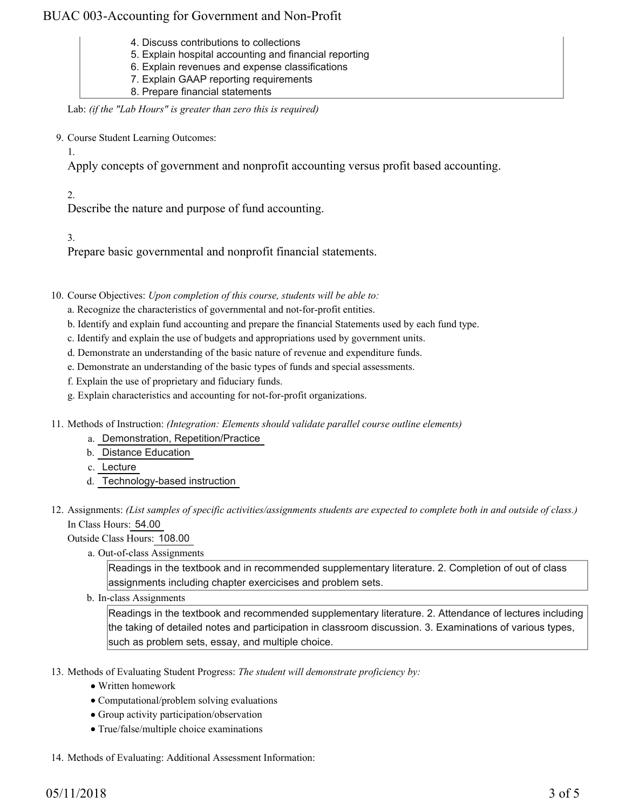- 4. Discuss contributions to collections
- 5. Explain hospital accounting and financial reporting
- 6. Explain revenues and expense classifications
- 7. Explain GAAP reporting requirements
- 8. Prepare financial statements

Lab: *(if the "Lab Hours" is greater than zero this is required)*

9. Course Student Learning Outcomes:

Apply concepts of government and nonprofit accounting versus profit based accounting.

2.

1.

Describe the nature and purpose of fund accounting.

3.

Prepare basic governmental and nonprofit financial statements.

10. Course Objectives: Upon completion of this course, students will be able to:

a. Recognize the characteristics of governmental and not-for-profit entities.

- b. Identify and explain fund accounting and prepare the financial Statements used by each fund type.
- c. Identify and explain the use of budgets and appropriations used by government units.
- d. Demonstrate an understanding of the basic nature of revenue and expenditure funds.
- e. Demonstrate an understanding of the basic types of funds and special assessments.
- f. Explain the use of proprietary and fiduciary funds.
- g. Explain characteristics and accounting for not-for-profit organizations.
- 11. Methods of Instruction: *(Integration: Elements should validate parallel course outline elements)* 
	- a. Demonstration, Repetition/Practice
	- b. Distance Education
	- c. Lecture
	- d. Technology-based instruction
- 12. Assignments: (List samples of specific activities/assignments students are expected to complete both in and outside of class.) In Class Hours: 54.00

Outside Class Hours: 108.00

a. Out-of-class Assignments

Readings in the textbook and in recommended supplementary literature. 2. Completion of out of class assignments including chapter exercicises and problem sets.

b. In-class Assignments

Readings in the textbook and recommended supplementary literature. 2. Attendance of lectures including the taking of detailed notes and participation in classroom discussion. 3. Examinations of various types, such as problem sets, essay, and multiple choice.

- 13. Methods of Evaluating Student Progress: The student will demonstrate proficiency by:
	- Written homework
	- Computational/problem solving evaluations
	- Group activity participation/observation
	- True/false/multiple choice examinations
- 14. Methods of Evaluating: Additional Assessment Information: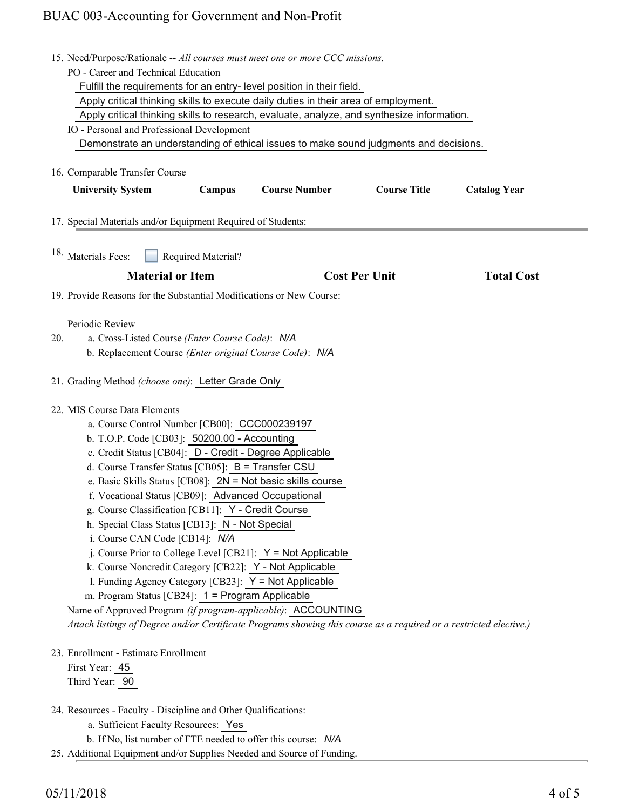|     | 15. Need/Purpose/Rationale -- All courses must meet one or more CCC missions.                                      |
|-----|--------------------------------------------------------------------------------------------------------------------|
|     | PO - Career and Technical Education                                                                                |
|     | Fulfill the requirements for an entry- level position in their field.                                              |
|     | Apply critical thinking skills to execute daily duties in their area of employment.                                |
|     | Apply critical thinking skills to research, evaluate, analyze, and synthesize information.                         |
|     | IO - Personal and Professional Development                                                                         |
|     | Demonstrate an understanding of ethical issues to make sound judgments and decisions.                              |
|     |                                                                                                                    |
|     | 16. Comparable Transfer Course                                                                                     |
|     | <b>Course Number</b><br><b>Course Title</b><br><b>University System</b><br><b>Catalog Year</b><br>Campus           |
|     |                                                                                                                    |
|     | 17. Special Materials and/or Equipment Required of Students:                                                       |
|     |                                                                                                                    |
|     | <sup>18.</sup> Materials Fees:<br>Required Material?                                                               |
|     | <b>Material or Item</b><br><b>Cost Per Unit</b><br><b>Total Cost</b>                                               |
|     | 19. Provide Reasons for the Substantial Modifications or New Course:                                               |
|     |                                                                                                                    |
|     | Periodic Review                                                                                                    |
| 20. | a. Cross-Listed Course (Enter Course Code): N/A                                                                    |
|     | b. Replacement Course (Enter original Course Code): N/A                                                            |
|     | 21. Grading Method (choose one): Letter Grade Only                                                                 |
|     |                                                                                                                    |
|     | 22. MIS Course Data Elements                                                                                       |
|     | a. Course Control Number [CB00]: CCC000239197                                                                      |
|     | b. T.O.P. Code [CB03]: 50200.00 - Accounting                                                                       |
|     | c. Credit Status [CB04]: D - Credit - Degree Applicable                                                            |
|     | d. Course Transfer Status [CB05]: B = Transfer CSU                                                                 |
|     | e. Basic Skills Status [CB08]: 2N = Not basic skills course                                                        |
|     | f. Vocational Status [CB09]: Advanced Occupational                                                                 |
|     | g. Course Classification [CB11]: Y - Credit Course                                                                 |
|     | h. Special Class Status [CB13]: N - Not Special                                                                    |
|     | i. Course CAN Code [CB14]: N/A                                                                                     |
|     | j. Course Prior to College Level [CB21]: $Y = Not$ Applicable                                                      |
|     | k. Course Noncredit Category [CB22]: Y - Not Applicable                                                            |
|     | I. Funding Agency Category [CB23]: Y = Not Applicable                                                              |
|     | m. Program Status [CB24]: 1 = Program Applicable                                                                   |
|     | Name of Approved Program (if program-applicable): ACCOUNTING                                                       |
|     | Attach listings of Degree and/or Certificate Programs showing this course as a required or a restricted elective.) |
|     | 23. Enrollment - Estimate Enrollment                                                                               |
|     | First Year: 45                                                                                                     |
|     | Third Year: 90                                                                                                     |
|     |                                                                                                                    |
|     | 24. Resources - Faculty - Discipline and Other Qualifications:                                                     |
|     | a. Sufficient Faculty Resources: Yes                                                                               |
|     | b. If No, list number of FTE needed to offer this course: N/A                                                      |

25. Additional Equipment and/or Supplies Needed and Source of Funding.